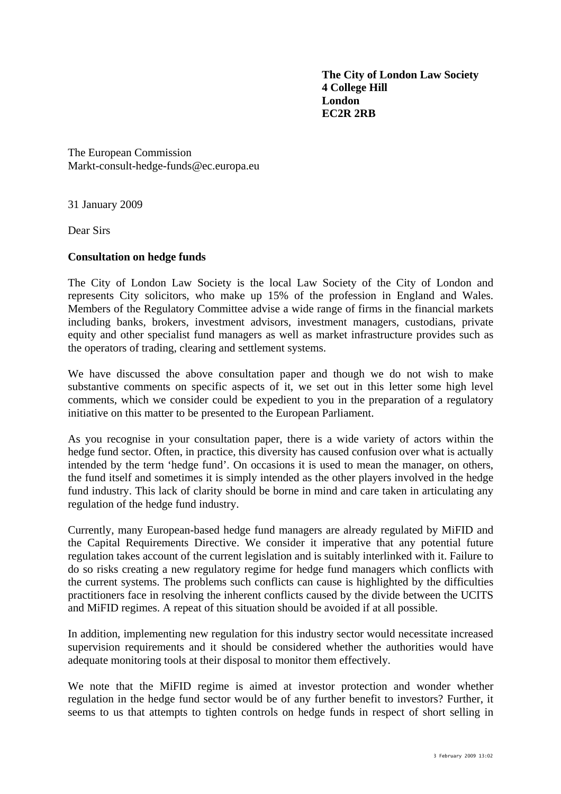**The City of London Law Society 4 College Hill London EC2R 2RB** 

The European Commission Markt-consult-hedge-funds@ec.europa.eu

31 January 2009

Dear Sirs

## **Consultation on hedge funds**

The City of London Law Society is the local Law Society of the City of London and represents City solicitors, who make up 15% of the profession in England and Wales. Members of the Regulatory Committee advise a wide range of firms in the financial markets including banks, brokers, investment advisors, investment managers, custodians, private equity and other specialist fund managers as well as market infrastructure provides such as the operators of trading, clearing and settlement systems.

We have discussed the above consultation paper and though we do not wish to make substantive comments on specific aspects of it, we set out in this letter some high level comments, which we consider could be expedient to you in the preparation of a regulatory initiative on this matter to be presented to the European Parliament.

As you recognise in your consultation paper, there is a wide variety of actors within the hedge fund sector. Often, in practice, this diversity has caused confusion over what is actually intended by the term 'hedge fund'. On occasions it is used to mean the manager, on others, the fund itself and sometimes it is simply intended as the other players involved in the hedge fund industry. This lack of clarity should be borne in mind and care taken in articulating any regulation of the hedge fund industry.

Currently, many European-based hedge fund managers are already regulated by MiFID and the Capital Requirements Directive. We consider it imperative that any potential future regulation takes account of the current legislation and is suitably interlinked with it. Failure to do so risks creating a new regulatory regime for hedge fund managers which conflicts with the current systems. The problems such conflicts can cause is highlighted by the difficulties practitioners face in resolving the inherent conflicts caused by the divide between the UCITS and MiFID regimes. A repeat of this situation should be avoided if at all possible.

In addition, implementing new regulation for this industry sector would necessitate increased supervision requirements and it should be considered whether the authorities would have adequate monitoring tools at their disposal to monitor them effectively.

We note that the MiFID regime is aimed at investor protection and wonder whether regulation in the hedge fund sector would be of any further benefit to investors? Further, it seems to us that attempts to tighten controls on hedge funds in respect of short selling in